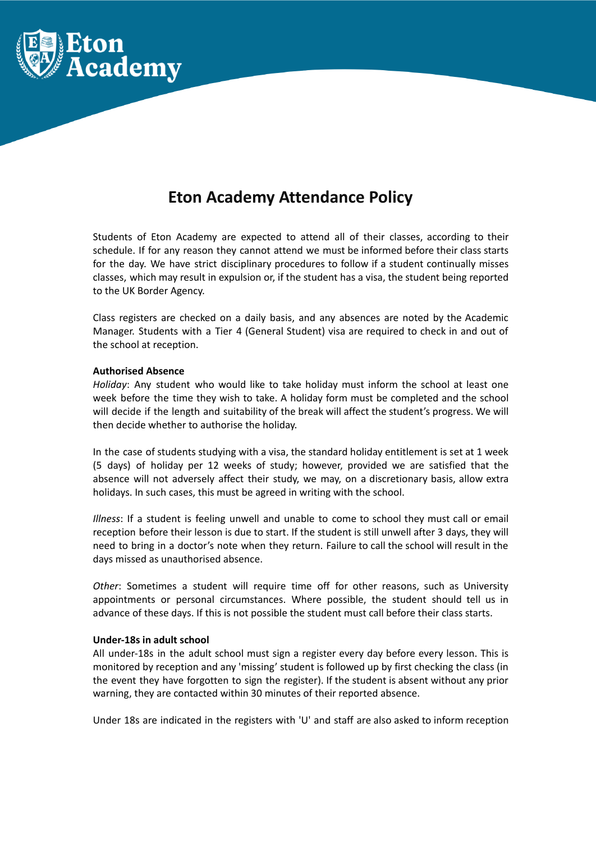

# **Eton Academy Attendance Policy**

Students of Eton Academy are expected to attend all of their classes, according to their schedule. If for any reason they cannot attend we must be informed before their class starts for the day. We have strict disciplinary procedures to follow if a student continually misses classes, which may result in expulsion or, if the student has a visa, the student being reported to the UK Border Agency.

Class registers are checked on a daily basis, and any absences are noted by the Academic Manager. Students with a Tier 4 (General Student) visa are required to check in and out of the school at reception.

#### **Authorised Absence**

*Holiday*: Any student who would like to take holiday must inform the school at least one week before the time they wish to take. A holiday form must be completed and the school will decide if the length and suitability of the break will affect the student's progress. We will then decide whether to authorise the holiday.

In the case of students studying with a visa, the standard holiday entitlement is set at 1 week (5 days) of holiday per 12 weeks of study; however, provided we are satisfied that the absence will not adversely affect their study, we may, on a discretionary basis, allow extra holidays. In such cases, this must be agreed in writing with the school.

*Illness*: If a student is feeling unwell and unable to come to school they must call or email reception before their lesson is due to start. If the student is still unwell after 3 days, they will need to bring in a doctor's note when they return. Failure to call the school will result in the days missed as unauthorised absence.

*Other*: Sometimes a student will require time off for other reasons, such as University appointments or personal circumstances. Where possible, the student should tell us in advance of these days. If this is not possible the student must call before their class starts.

#### **Under-18s in adult school**

All under-18s in the adult school must sign a register every day before every lesson. This is monitored by reception and any 'missing' student is followed up by first checking the class (in the event they have forgotten to sign the register). If the student is absent without any prior warning, they are contacted within 30 minutes of their reported absence.

Under 18s are indicated in the registers with 'U' and staff are also asked to inform reception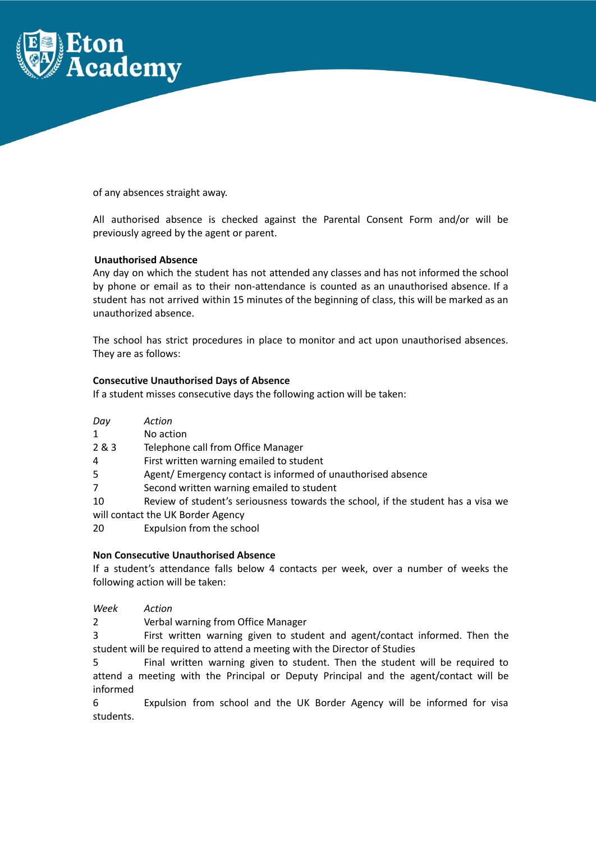

of any absences straight away.

All authorised absence is checked against the Parental Consent Form and/or will be previously agreed by the agent or parent.

# **Unauthorised Absence**

Any day on which the student has not attended any classes and has not informed the school by phone or email as to their non-attendance is counted as an unauthorised absence. If a student has not arrived within 15 minutes of the beginning of class, this will be marked as an unauthorized absence.

The school has strict procedures in place to monitor and act upon unauthorised absences. They are as follows:

# **Consecutive Unauthorised Days of Absence**

If a student misses consecutive days the following action will be taken:

| Day | Action                                                         |
|-----|----------------------------------------------------------------|
| 1   | No action                                                      |
| 2&3 | Telephone call from Office Manager                             |
| 4   | First written warning emailed to student                       |
| 5.  | Agent/Emergency contact is informed of unauthorised absence    |
|     | Second written warning emailed to student                      |
| 10  | Review of student's seriousness towards the school if the stud |

Review of student's seriousness towards the school, if the student has a visa we will contact the UK Border Agency

20 Expulsion from the school

## **Non Consecutive Unauthorised Absence**

If a student's attendance falls below 4 contacts per week, over a number of weeks the following action will be taken:

*Week Action*

2 Verbal warning from Office Manager

3 First written warning given to student and agent/contact informed. Then the student will be required to attend a meeting with the Director of Studies

5 Final written warning given to student. Then the student will be required to attend a meeting with the Principal or Deputy Principal and the agent/contact will be informed

6 Expulsion from school and the UK Border Agency will be informed for visa students.